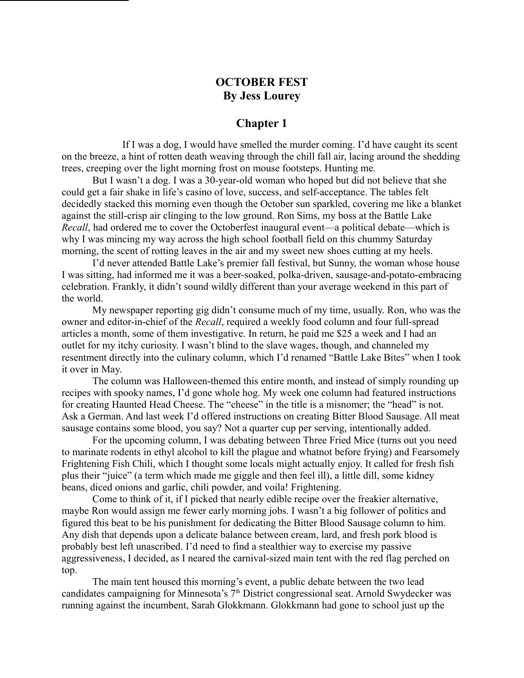## **OCTOBER FEST By Jess Lourey**

## **Chapter 1**

If I was a dog, I would have smelled the murder coming. I'd have caught its scent on the breeze, a hint of rotten death weaving through the chill fall air, lacing around the shedding trees, creeping over the light morning frost on mouse footsteps. Hunting me.

But I wasn't a dog. I was a 30-year-old woman who hoped but did not believe that she could get a fair shake in life's casino of love, success, and self-acceptance. The tables felt decidedly stacked this morning even though the October sun sparkled, covering me like a blanket against the still-crisp air clinging to the low ground. Ron Sims, my boss at the Battle Lake *Recall*, had ordered me to cover the Octoberfest inaugural event—a political debate—which is why I was mincing my way across the high school football field on this chummy Saturday morning, the scent of rotting leaves in the air and my sweet new shoes cutting at my heels.

I'd never attended Battle Lake's premier fall festival, but Sunny, the woman whose house I was sitting, had informed me it was a beer-soaked, polka-driven, sausage-and-potato-embracing celebration. Frankly, it didn't sound wildly different than your average weekend in this part of the world.

My newspaper reporting gig didn't consume much of my time, usually. Ron, who was the owner and editor-in-chief of the *Recall*, required a weekly food column and four full-spread articles a month, some of them investigative. In return, he paid me \$25 a week and I had an outlet for my itchy curiosity. I wasn't blind to the slave wages, though, and channeled my resentment directly into the culinary column, which I'd renamed "Battle Lake Bites" when I took it over in May.

The column was Halloween-themed this entire month, and instead of simply rounding up recipes with spooky names, I'd gone whole hog. My week one column had featured instructions for creating Haunted Head Cheese. The "cheese" in the title is a misnomer; the "head" is not. Ask a German. And last week I'd offered instructions on creating Bitter Blood Sausage. All meat sausage contains some blood, you say? Not a quarter cup per serving, intentionally added.

For the upcoming column, I was debating between Three Fried Mice (turns out you need to marinate rodents in ethyl alcohol to kill the plague and whatnot before frying) and Fearsomely Frightening Fish Chili, which I thought some locals might actually enjoy. It called for fresh fish plus their "juice" (a term which made me giggle and then feel ill), a little dill, some kidney beans, diced onions and garlic, chili powder, and voila! Frightening.

Come to think of it, if I picked that nearly edible recipe over the freakier alternative, maybe Ron would assign me fewer early morning jobs. I wasn't a big follower of politics and figured this beat to be his punishment for dedicating the Bitter Blood Sausage column to him. Any dish that depends upon a delicate balance between cream, lard, and fresh pork blood is probably best left unascribed. I'd need to find a stealthier way to exercise my passive aggressiveness, I decided, as I neared the carnival-sized main tent with the red flag perched on top.

The main tent housed this morning's event, a public debate between the two lead candidates campaigning for Minnesota's  $7<sup>th</sup>$  District congressional seat. Arnold Swydecker was running against the incumbent, Sarah Glokkmann. Glokkmann had gone to school just up the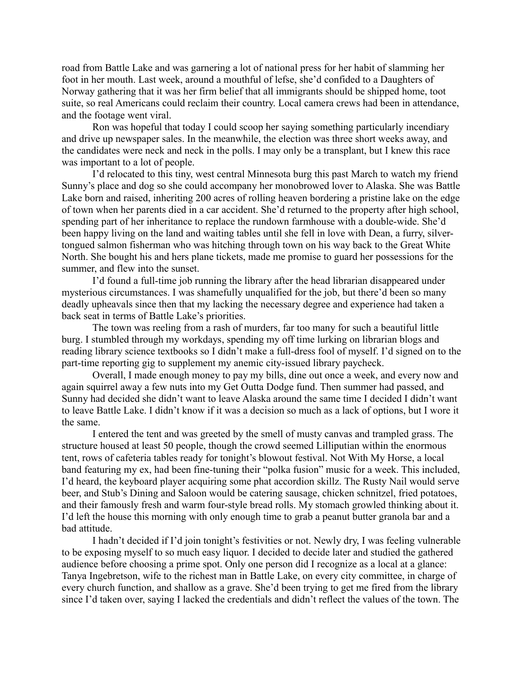road from Battle Lake and was garnering a lot of national press for her habit of slamming her foot in her mouth. Last week, around a mouthful of lefse, she'd confided to a Daughters of Norway gathering that it was her firm belief that all immigrants should be shipped home, toot suite, so real Americans could reclaim their country. Local camera crews had been in attendance, and the footage went viral.

Ron was hopeful that today I could scoop her saying something particularly incendiary and drive up newspaper sales. In the meanwhile, the election was three short weeks away, and the candidates were neck and neck in the polls. I may only be a transplant, but I knew this race was important to a lot of people.

I'd relocated to this tiny, west central Minnesota burg this past March to watch my friend Sunny's place and dog so she could accompany her monobrowed lover to Alaska. She was Battle Lake born and raised, inheriting 200 acres of rolling heaven bordering a pristine lake on the edge of town when her parents died in a car accident. She'd returned to the property after high school, spending part of her inheritance to replace the rundown farmhouse with a double-wide. She'd been happy living on the land and waiting tables until she fell in love with Dean, a furry, silvertongued salmon fisherman who was hitching through town on his way back to the Great White North. She bought his and hers plane tickets, made me promise to guard her possessions for the summer, and flew into the sunset.

I'd found a full-time job running the library after the head librarian disappeared under mysterious circumstances. I was shamefully unqualified for the job, but there'd been so many deadly upheavals since then that my lacking the necessary degree and experience had taken a back seat in terms of Battle Lake's priorities.

The town was reeling from a rash of murders, far too many for such a beautiful little burg. I stumbled through my workdays, spending my off time lurking on librarian blogs and reading library science textbooks so I didn't make a full-dress fool of myself. I'd signed on to the part-time reporting gig to supplement my anemic city-issued library paycheck.

Overall, I made enough money to pay my bills, dine out once a week, and every now and again squirrel away a few nuts into my Get Outta Dodge fund. Then summer had passed, and Sunny had decided she didn't want to leave Alaska around the same time I decided I didn't want to leave Battle Lake. I didn't know if it was a decision so much as a lack of options, but I wore it the same.

I entered the tent and was greeted by the smell of musty canvas and trampled grass. The structure housed at least 50 people, though the crowd seemed Lilliputian within the enormous tent, rows of cafeteria tables ready for tonight's blowout festival. Not With My Horse, a local band featuring my ex, had been fine-tuning their "polka fusion" music for a week. This included, I'd heard, the keyboard player acquiring some phat accordion skillz. The Rusty Nail would serve beer, and Stub's Dining and Saloon would be catering sausage, chicken schnitzel, fried potatoes, and their famously fresh and warm four-style bread rolls. My stomach growled thinking about it. I'd left the house this morning with only enough time to grab a peanut butter granola bar and a bad attitude.

I hadn't decided if I'd join tonight's festivities or not. Newly dry, I was feeling vulnerable to be exposing myself to so much easy liquor. I decided to decide later and studied the gathered audience before choosing a prime spot. Only one person did I recognize as a local at a glance: Tanya Ingebretson, wife to the richest man in Battle Lake, on every city committee, in charge of every church function, and shallow as a grave. She'd been trying to get me fired from the library since I'd taken over, saying I lacked the credentials and didn't reflect the values of the town. The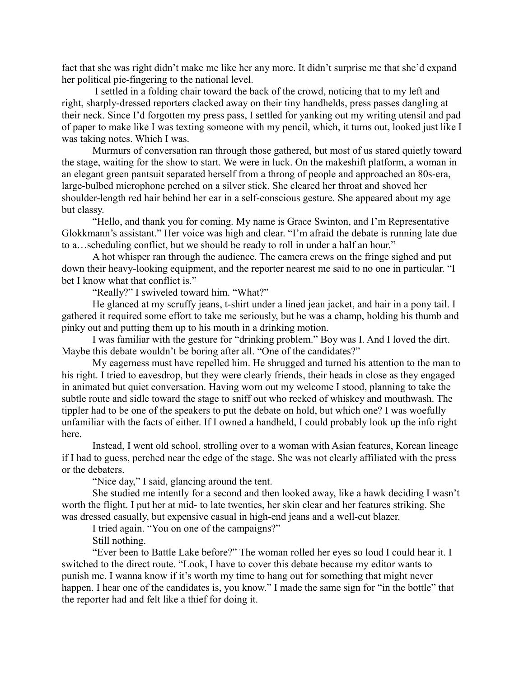fact that she was right didn't make me like her any more. It didn't surprise me that she'd expand her political pie-fingering to the national level.

 I settled in a folding chair toward the back of the crowd, noticing that to my left and right, sharply-dressed reporters clacked away on their tiny handhelds, press passes dangling at their neck. Since I'd forgotten my press pass, I settled for yanking out my writing utensil and pad of paper to make like I was texting someone with my pencil, which, it turns out, looked just like I was taking notes. Which I was.

Murmurs of conversation ran through those gathered, but most of us stared quietly toward the stage, waiting for the show to start. We were in luck. On the makeshift platform, a woman in an elegant green pantsuit separated herself from a throng of people and approached an 80s-era, large-bulbed microphone perched on a silver stick. She cleared her throat and shoved her shoulder-length red hair behind her ear in a self-conscious gesture. She appeared about my age but classy.

"Hello, and thank you for coming. My name is Grace Swinton, and I'm Representative Glokkmann's assistant." Her voice was high and clear. "I'm afraid the debate is running late due to a…scheduling conflict, but we should be ready to roll in under a half an hour."

A hot whisper ran through the audience. The camera crews on the fringe sighed and put down their heavy-looking equipment, and the reporter nearest me said to no one in particular. "I bet I know what that conflict is."

"Really?" I swiveled toward him. "What?"

He glanced at my scruffy jeans, t-shirt under a lined jean jacket, and hair in a pony tail. I gathered it required some effort to take me seriously, but he was a champ, holding his thumb and pinky out and putting them up to his mouth in a drinking motion.

I was familiar with the gesture for "drinking problem." Boy was I. And I loved the dirt. Maybe this debate wouldn't be boring after all. "One of the candidates?"

My eagerness must have repelled him. He shrugged and turned his attention to the man to his right. I tried to eavesdrop, but they were clearly friends, their heads in close as they engaged in animated but quiet conversation. Having worn out my welcome I stood, planning to take the subtle route and sidle toward the stage to sniff out who reeked of whiskey and mouthwash. The tippler had to be one of the speakers to put the debate on hold, but which one? I was woefully unfamiliar with the facts of either. If I owned a handheld, I could probably look up the info right here.

Instead, I went old school, strolling over to a woman with Asian features, Korean lineage if I had to guess, perched near the edge of the stage. She was not clearly affiliated with the press or the debaters.

"Nice day," I said, glancing around the tent.

She studied me intently for a second and then looked away, like a hawk deciding I wasn't worth the flight. I put her at mid- to late twenties, her skin clear and her features striking. She was dressed casually, but expensive casual in high-end jeans and a well-cut blazer.

I tried again. "You on one of the campaigns?"

Still nothing.

"Ever been to Battle Lake before?" The woman rolled her eyes so loud I could hear it. I switched to the direct route. "Look, I have to cover this debate because my editor wants to punish me. I wanna know if it's worth my time to hang out for something that might never happen. I hear one of the candidates is, you know." I made the same sign for "in the bottle" that the reporter had and felt like a thief for doing it.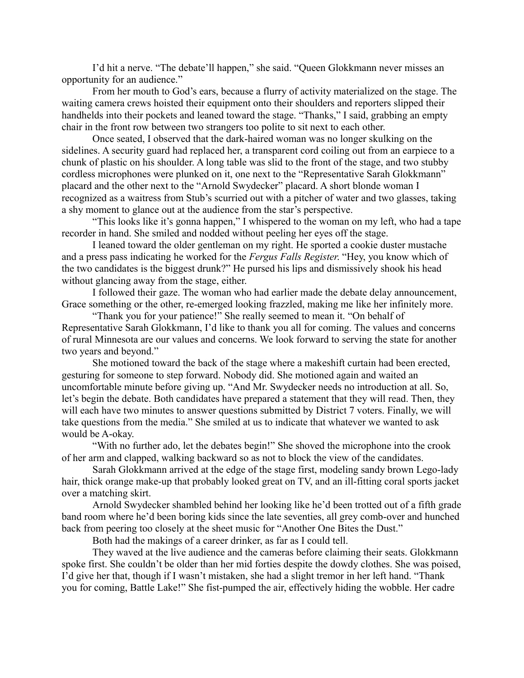I'd hit a nerve. "The debate'll happen," she said. "Queen Glokkmann never misses an opportunity for an audience."

From her mouth to God's ears, because a flurry of activity materialized on the stage. The waiting camera crews hoisted their equipment onto their shoulders and reporters slipped their handhelds into their pockets and leaned toward the stage. "Thanks," I said, grabbing an empty chair in the front row between two strangers too polite to sit next to each other.

Once seated, I observed that the dark-haired woman was no longer skulking on the sidelines. A security guard had replaced her, a transparent cord coiling out from an earpiece to a chunk of plastic on his shoulder. A long table was slid to the front of the stage, and two stubby cordless microphones were plunked on it, one next to the "Representative Sarah Glokkmann" placard and the other next to the "Arnold Swydecker" placard. A short blonde woman I recognized as a waitress from Stub's scurried out with a pitcher of water and two glasses, taking a shy moment to glance out at the audience from the star's perspective.

"This looks like it's gonna happen," I whispered to the woman on my left, who had a tape recorder in hand. She smiled and nodded without peeling her eyes off the stage.

I leaned toward the older gentleman on my right. He sported a cookie duster mustache and a press pass indicating he worked for the *Fergus Falls Register*. "Hey, you know which of the two candidates is the biggest drunk?" He pursed his lips and dismissively shook his head without glancing away from the stage, either.

I followed their gaze. The woman who had earlier made the debate delay announcement, Grace something or the other, re-emerged looking frazzled, making me like her infinitely more.

"Thank you for your patience!" She really seemed to mean it. "On behalf of Representative Sarah Glokkmann, I'd like to thank you all for coming. The values and concerns of rural Minnesota are our values and concerns. We look forward to serving the state for another two years and beyond."

She motioned toward the back of the stage where a makeshift curtain had been erected, gesturing for someone to step forward. Nobody did. She motioned again and waited an uncomfortable minute before giving up. "And Mr. Swydecker needs no introduction at all. So, let's begin the debate. Both candidates have prepared a statement that they will read. Then, they will each have two minutes to answer questions submitted by District 7 voters. Finally, we will take questions from the media." She smiled at us to indicate that whatever we wanted to ask would be A-okay.

"With no further ado, let the debates begin!" She shoved the microphone into the crook of her arm and clapped, walking backward so as not to block the view of the candidates.

Sarah Glokkmann arrived at the edge of the stage first, modeling sandy brown Lego-lady hair, thick orange make-up that probably looked great on TV, and an ill-fitting coral sports jacket over a matching skirt.

Arnold Swydecker shambled behind her looking like he'd been trotted out of a fifth grade band room where he'd been boring kids since the late seventies, all grey comb-over and hunched back from peering too closely at the sheet music for "Another One Bites the Dust."

Both had the makings of a career drinker, as far as I could tell.

They waved at the live audience and the cameras before claiming their seats. Glokkmann spoke first. She couldn't be older than her mid forties despite the dowdy clothes. She was poised, I'd give her that, though if I wasn't mistaken, she had a slight tremor in her left hand. "Thank you for coming, Battle Lake!" She fist-pumped the air, effectively hiding the wobble. Her cadre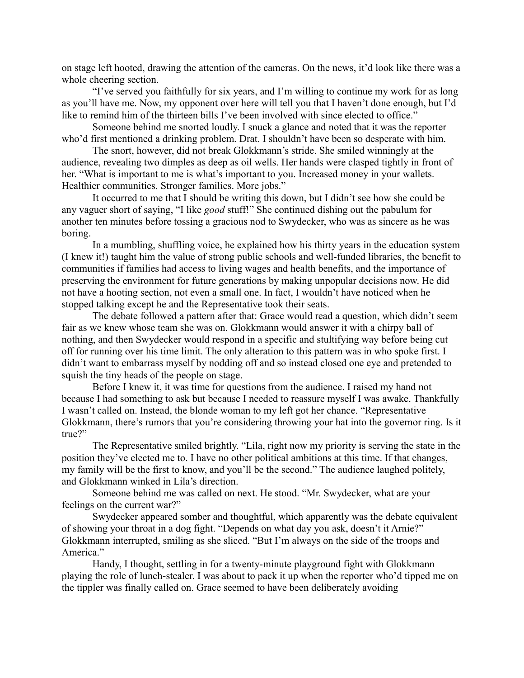on stage left hooted, drawing the attention of the cameras. On the news, it'd look like there was a whole cheering section.

"I've served you faithfully for six years, and I'm willing to continue my work for as long as you'll have me. Now, my opponent over here will tell you that I haven't done enough, but I'd like to remind him of the thirteen bills I've been involved with since elected to office."

Someone behind me snorted loudly. I snuck a glance and noted that it was the reporter who'd first mentioned a drinking problem. Drat. I shouldn't have been so desperate with him.

The snort, however, did not break Glokkmann's stride. She smiled winningly at the audience, revealing two dimples as deep as oil wells. Her hands were clasped tightly in front of her. "What is important to me is what's important to you. Increased money in your wallets. Healthier communities. Stronger families. More jobs."

It occurred to me that I should be writing this down, but I didn't see how she could be any vaguer short of saying, "I like *good* stuff!" She continued dishing out the pabulum for another ten minutes before tossing a gracious nod to Swydecker, who was as sincere as he was boring.

In a mumbling, shuffling voice, he explained how his thirty years in the education system (I knew it!) taught him the value of strong public schools and well-funded libraries, the benefit to communities if families had access to living wages and health benefits, and the importance of preserving the environment for future generations by making unpopular decisions now. He did not have a hooting section, not even a small one. In fact, I wouldn't have noticed when he stopped talking except he and the Representative took their seats.

The debate followed a pattern after that: Grace would read a question, which didn't seem fair as we knew whose team she was on. Glokkmann would answer it with a chirpy ball of nothing, and then Swydecker would respond in a specific and stultifying way before being cut off for running over his time limit. The only alteration to this pattern was in who spoke first. I didn't want to embarrass myself by nodding off and so instead closed one eye and pretended to squish the tiny heads of the people on stage.

Before I knew it, it was time for questions from the audience. I raised my hand not because I had something to ask but because I needed to reassure myself I was awake. Thankfully I wasn't called on. Instead, the blonde woman to my left got her chance. "Representative Glokkmann, there's rumors that you're considering throwing your hat into the governor ring. Is it true?"

The Representative smiled brightly. "Lila, right now my priority is serving the state in the position they've elected me to. I have no other political ambitions at this time. If that changes, my family will be the first to know, and you'll be the second." The audience laughed politely, and Glokkmann winked in Lila's direction.

Someone behind me was called on next. He stood. "Mr. Swydecker, what are your feelings on the current war?"

Swydecker appeared somber and thoughtful, which apparently was the debate equivalent of showing your throat in a dog fight. "Depends on what day you ask, doesn't it Arnie?" Glokkmann interrupted, smiling as she sliced. "But I'm always on the side of the troops and America."

Handy, I thought, settling in for a twenty-minute playground fight with Glokkmann playing the role of lunch-stealer. I was about to pack it up when the reporter who'd tipped me on the tippler was finally called on. Grace seemed to have been deliberately avoiding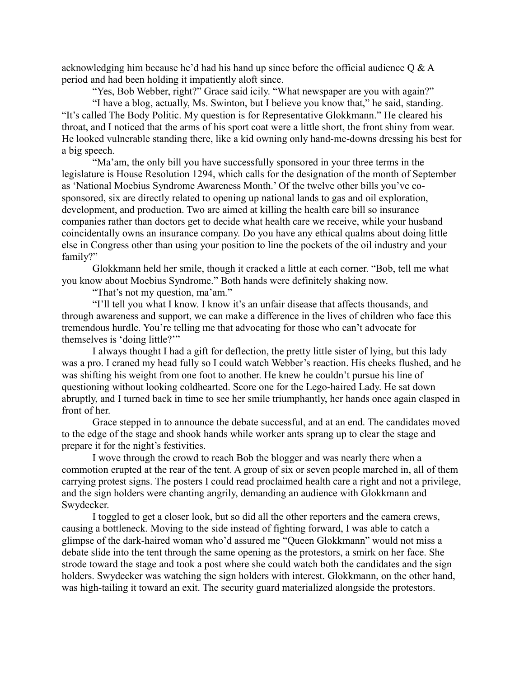acknowledging him because he'd had his hand up since before the official audience  $Q \& A$ period and had been holding it impatiently aloft since.

"Yes, Bob Webber, right?" Grace said icily. "What newspaper are you with again?"

"I have a blog, actually, Ms. Swinton, but I believe you know that," he said, standing. "It's called The Body Politic. My question is for Representative Glokkmann." He cleared his throat, and I noticed that the arms of his sport coat were a little short, the front shiny from wear. He looked vulnerable standing there, like a kid owning only hand-me-downs dressing his best for a big speech.

"Ma'am, the only bill you have successfully sponsored in your three terms in the legislature is House Resolution 1294, which calls for the designation of the month of September as 'National Moebius Syndrome Awareness Month.' Of the twelve other bills you've cosponsored, six are directly related to opening up national lands to gas and oil exploration, development, and production. Two are aimed at killing the health care bill so insurance companies rather than doctors get to decide what health care we receive, while your husband coincidentally owns an insurance company. Do you have any ethical qualms about doing little else in Congress other than using your position to line the pockets of the oil industry and your family?"

Glokkmann held her smile, though it cracked a little at each corner. "Bob, tell me what you know about Moebius Syndrome." Both hands were definitely shaking now.

"That's not my question, ma'am."

"I'll tell you what I know. I know it's an unfair disease that affects thousands, and through awareness and support, we can make a difference in the lives of children who face this tremendous hurdle. You're telling me that advocating for those who can't advocate for themselves is 'doing little?'"

I always thought I had a gift for deflection, the pretty little sister of lying, but this lady was a pro. I craned my head fully so I could watch Webber's reaction. His cheeks flushed, and he was shifting his weight from one foot to another. He knew he couldn't pursue his line of questioning without looking coldhearted. Score one for the Lego-haired Lady. He sat down abruptly, and I turned back in time to see her smile triumphantly, her hands once again clasped in front of her.

Grace stepped in to announce the debate successful, and at an end. The candidates moved to the edge of the stage and shook hands while worker ants sprang up to clear the stage and prepare it for the night's festivities.

I wove through the crowd to reach Bob the blogger and was nearly there when a commotion erupted at the rear of the tent. A group of six or seven people marched in, all of them carrying protest signs. The posters I could read proclaimed health care a right and not a privilege, and the sign holders were chanting angrily, demanding an audience with Glokkmann and Swydecker.

I toggled to get a closer look, but so did all the other reporters and the camera crews, causing a bottleneck. Moving to the side instead of fighting forward, I was able to catch a glimpse of the dark-haired woman who'd assured me "Queen Glokkmann" would not miss a debate slide into the tent through the same opening as the protestors, a smirk on her face. She strode toward the stage and took a post where she could watch both the candidates and the sign holders. Swydecker was watching the sign holders with interest. Glokkmann, on the other hand, was high-tailing it toward an exit. The security guard materialized alongside the protestors.